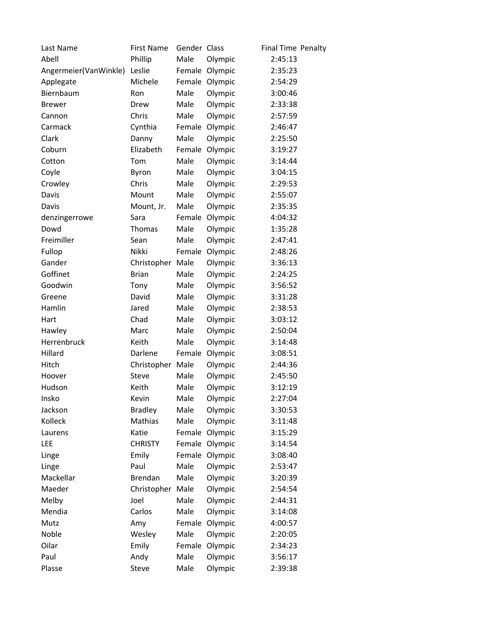| Last Name             | <b>First Name</b> | Gender Class |                | Final Time Penalty |  |
|-----------------------|-------------------|--------------|----------------|--------------------|--|
| Abell                 | Phillip           | Male         | Olympic        | 2:45:13            |  |
| Angermeier(VanWinkle) | Leslie            | Female       | Olympic        | 2:35:23            |  |
| Applegate             | Michele           | Female       | Olympic        | 2:54:29            |  |
| Biernbaum             | Ron               | Male         | Olympic        | 3:00:46            |  |
| <b>Brewer</b>         | Drew              | Male         | Olympic        | 2:33:38            |  |
| Cannon                | Chris             | Male         | Olympic        | 2:57:59            |  |
| Carmack               | Cynthia           | Female       | Olympic        | 2:46:47            |  |
| Clark                 | Danny             | Male         | Olympic        | 2:25:50            |  |
| Coburn                | Elizabeth         |              | Female Olympic | 3:19:27            |  |
| Cotton                | Tom               | Male         | Olympic        | 3:14:44            |  |
| Coyle                 | Byron             | Male         | Olympic        | 3:04:15            |  |
| Crowley               | Chris             | Male         | Olympic        | 2:29:53            |  |
| Davis                 | Mount             | Male         | Olympic        | 2:55:07            |  |
| Davis                 | Mount, Jr.        | Male         | Olympic        | 2:35:35            |  |
| denzingerrowe         | Sara              | Female       | Olympic        | 4:04:32            |  |
| Dowd                  | Thomas            | Male         | Olympic        | 1:35:28            |  |
| Freimiller            | Sean              | Male         | Olympic        | 2:47:41            |  |
| Fullop                | Nikki             |              | Female Olympic | 2:48:26            |  |
| Gander                | Christopher       | Male         | Olympic        | 3:36:13            |  |
| Goffinet              | <b>Brian</b>      | Male         | Olympic        | 2:24:25            |  |
| Goodwin               | Tony              | Male         | Olympic        | 3:56:52            |  |
| Greene                | David             | Male         | Olympic        | 3:31:28            |  |
| Hamlin                | Jared             | Male         | Olympic        | 2:38:53            |  |
| Hart                  | Chad              | Male         | Olympic        | 3:03:12            |  |
| Hawley                | Marc              | Male         | Olympic        | 2:50:04            |  |
| Herrenbruck           | Keith             | Male         | Olympic        | 3:14:48            |  |
| Hillard               | Darlene           | Female       | Olympic        | 3:08:51            |  |
| Hitch                 | Christopher       | Male         | Olympic        | 2:44:36            |  |
| Hoover                | Steve             | Male         | Olympic        | 2:45:50            |  |
| Hudson                | Keith             | Male         | Olympic        | 3:12:19            |  |
| Insko                 | Kevin             | Male         | Olympic        | 2:27:04            |  |
| Jackson               | <b>Bradley</b>    | Male         | Olympic        | 3:30:53            |  |
| Kolleck               | Mathias           | Male         | Olympic        | 3:11:48            |  |
| Laurens               | Katie             | Female       | Olympic        | 3:15:29            |  |
| LEE                   | <b>CHRISTY</b>    |              | Female Olympic | 3:14:54            |  |
| Linge                 | Emily             | Female       | Olympic        | 3:08:40            |  |
| Linge                 | Paul              | Male         | Olympic        | 2:53:47            |  |
| Mackellar             | <b>Brendan</b>    | Male         | Olympic        | 3:20:39            |  |
| Maeder                | Christopher       | Male         | Olympic        | 2:54:54            |  |
| Melby                 | Joel              | Male         | Olympic        | 2:44:31            |  |
| Mendia                | Carlos            | Male         | Olympic        | 3:14:08            |  |
| Mutz                  | Amy               | Female       | Olympic        | 4:00:57            |  |
| Noble                 | Wesley            | Male         | Olympic        | 2:20:05            |  |
| Oilar                 | Emily             | Female       | Olympic        | 2:34:23            |  |
| Paul                  | Andy              | Male         | Olympic        | 3:56:17            |  |
| Plasse                | Steve             | Male         | Olympic        | 2:39:38            |  |